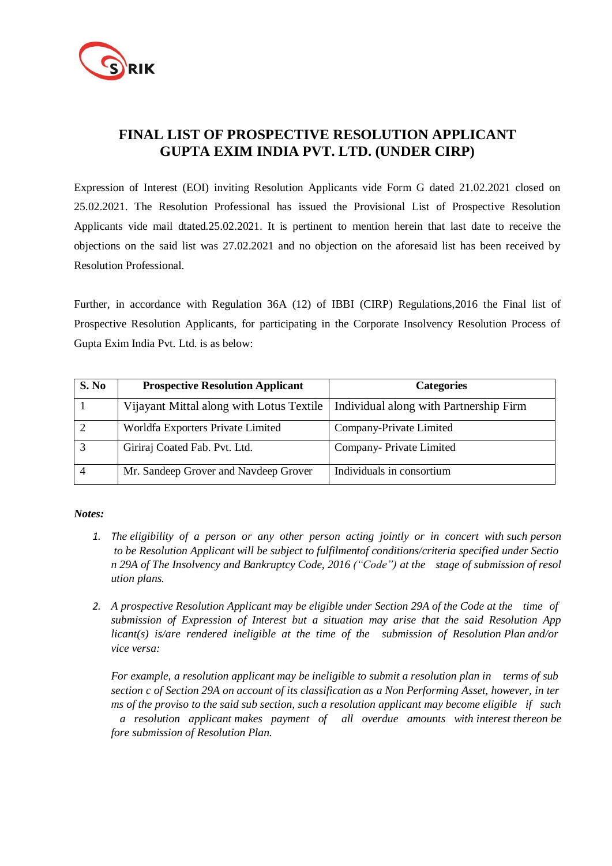

## **FINAL LIST OF PROSPECTIVE RESOLUTION APPLICANT GUPTA EXIM INDIA PVT. LTD. (UNDER CIRP)**

Expression of Interest (EOI) inviting Resolution Applicants vide Form G dated 21.02.2021 closed on 25.02.2021. The Resolution Professional has issued the Provisional List of Prospective Resolution Applicants vide mail dtated.25.02.2021. It is pertinent to mention herein that last date to receive the objections on the said list was 27.02.2021 and no objection on the aforesaid list has been received by Resolution Professional.

Further, in accordance with Regulation 36A (12) of IBBI (CIRP) Regulations,2016 the Final list of Prospective Resolution Applicants, for participating in the Corporate Insolvency Resolution Process of Gupta Exim India Pvt. Ltd. is as below:

| S. No | <b>Prospective Resolution Applicant</b>  | <b>Categories</b>                      |
|-------|------------------------------------------|----------------------------------------|
|       | Vijayant Mittal along with Lotus Textile | Individual along with Partnership Firm |
|       | Worldfa Exporters Private Limited        | Company-Private Limited                |
|       | Giriraj Coated Fab. Pvt. Ltd.            | Company-Private Limited                |
|       | Mr. Sandeep Grover and Navdeep Grover    | Individuals in consortium              |

## *Notes:*

- 1. The eligibility of a person or any other person acting jointly or in concert with such person *to be Resolution Applicant will be subject to fulfilmentof conditions/criteria specified under Sectio n 29A of The Insolvency and Bankruptcy Code, 2016 ("Code") at the stage of submission of resol ution plans.*
- *2. A prospective Resolution Applicant may be eligible under Section 29A of the Code at the time of submission of Expression of Interest but a situation may arise that the said Resolution App licant(s) is/are rendered ineligible at the time of the submission of Resolution Plan and/or vice versa:*

*For example, a resolution applicant may be ineligible to submit a resolution plan in terms of sub* section c of Section 29A on account of its classification as a Non Performing Asset, however, in ter *ms of the proviso to the said sub section, such a resolution applicant may become eligible if such a resolution applicant makes payment of all overdue amounts with interest thereon be fore submission of Resolution Plan.*